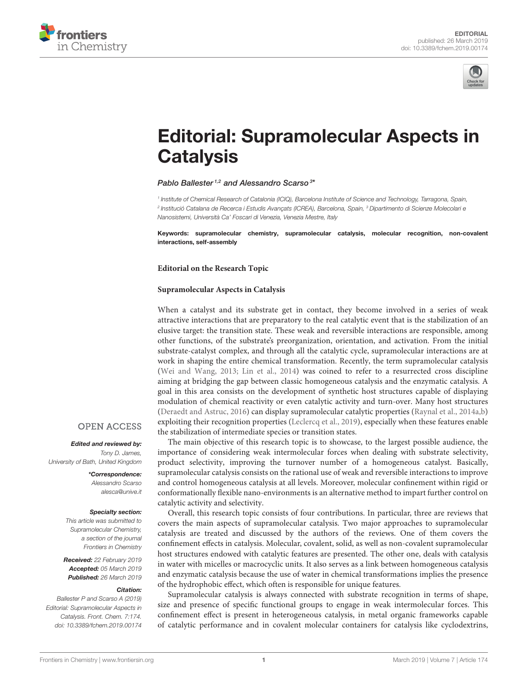



# [Editorial: Supramolecular Aspects in](https://www.frontiersin.org/articles/10.3389/fchem.2019.00174/full) **Catalysis**

[Pablo Ballester](http://loop.frontiersin.org/people/60391/overview)<sup>1,2</sup> and [Alessandro Scarso](http://loop.frontiersin.org/people/53728/overview)<sup>3\*</sup>

1 Institute of Chemical Research of Catalonia (ICIQ), Barcelona Institute of Science and Technology, Tarragona, Spain, 2 Institució Catalana de Recerca i Estudis Avançats (ICREA), Barcelona, Spain, <sup>3</sup> Dipartimento di Scienze Molecolari e Nanosistemi, Università Ca' Foscari di Venezia, Venezia Mestre, Italy

Keywords: supramolecular chemistry, supramolecular catalysis, molecular recognition, non-covalent interactions, self-assembly

**Editorial on the Research Topic**

### **[Supramolecular Aspects in Catalysis](https://www.frontiersin.org/research-topics/7174/supramolecular-aspects-in-catalysis)**

When a catalyst and its substrate get in contact, they become involved in a series of weak attractive interactions that are preparatory to the real catalytic event that is the stabilization of an elusive target: the transition state. These weak and reversible interactions are responsible, among other functions, of the substrate's preorganization, orientation, and activation. From the initial substrate-catalyst complex, and through all the catalytic cycle, supramolecular interactions are at work in shaping the entire chemical transformation. Recently, the term supramolecular catalysis [\(Wei and Wang, 2013;](#page-1-0) [Lin et al., 2014\)](#page-1-1) was coined to refer to a resurrected cross discipline aiming at bridging the gap between classic homogeneous catalysis and the enzymatic catalysis. A goal in this area consists on the development of synthetic host structures capable of displaying modulation of chemical reactivity or even catalytic activity and turn-over. Many host structures [\(Deraedt and Astruc, 2016\)](#page-1-2) can display supramolecular catalytic properties [\(Raynal et al., 2014a](#page-1-3)[,b\)](#page-1-4) exploiting their recognition properties [\(Leclercq et al., 2019\)](#page-1-5), especially when these features enable the stabilization of intermediate species or transition states.

The main objective of this research topic is to showcase, to the largest possible audience, the importance of considering weak intermolecular forces when dealing with substrate selectivity, product selectivity, improving the turnover number of a homogeneous catalyst. Basically, supramolecular catalysis consists on the rational use of weak and reversible interactions to improve and control homogeneous catalysis at all levels. Moreover, molecular confinement within rigid or conformationally flexible nano-environments is an alternative method to impart further control on catalytic activity and selectivity.

Overall, this research topic consists of four contributions. In particular, three are reviews that covers the main aspects of supramolecular catalysis. Two major approaches to supramolecular catalysis are treated and discussed by the authors of the reviews. One of them covers the confinement effects in catalysis. Molecular, covalent, solid, as well as non-covalent supramolecular host structures endowed with catalytic features are presented. The other one, deals with catalysis in water with micelles or macrocyclic units. It also serves as a link between homogeneous catalysis and enzymatic catalysis because the use of water in chemical transformations implies the presence of the hydrophobic effect, which often is responsible for unique features.

Supramolecular catalysis is always connected with substrate recognition in terms of shape, size and presence of specific functional groups to engage in weak intermolecular forces. This confinement effect is present in heterogeneous catalysis, in metal organic frameworks capable of catalytic performance and in covalent molecular containers for catalysis like cyclodextrins,

## **OPEN ACCESS**

## Edited and reviewed by:

Tony D. James, University of Bath, United Kingdom

> \*Correspondence: Alessandro Scarso [alesca@unive.it](mailto:alesca@unive.it)

#### Specialty section:

This article was submitted to Supramolecular Chemistry, a section of the journal Frontiers in Chemistry

Received: 22 February 2019 Accepted: 05 March 2019 Published: 26 March 2019

#### Citation:

Ballester P and Scarso A (2019) Editorial: Supramolecular Aspects in Catalysis. Front. Chem. 7:174. doi: [10.3389/fchem.2019.00174](https://doi.org/10.3389/fchem.2019.00174)